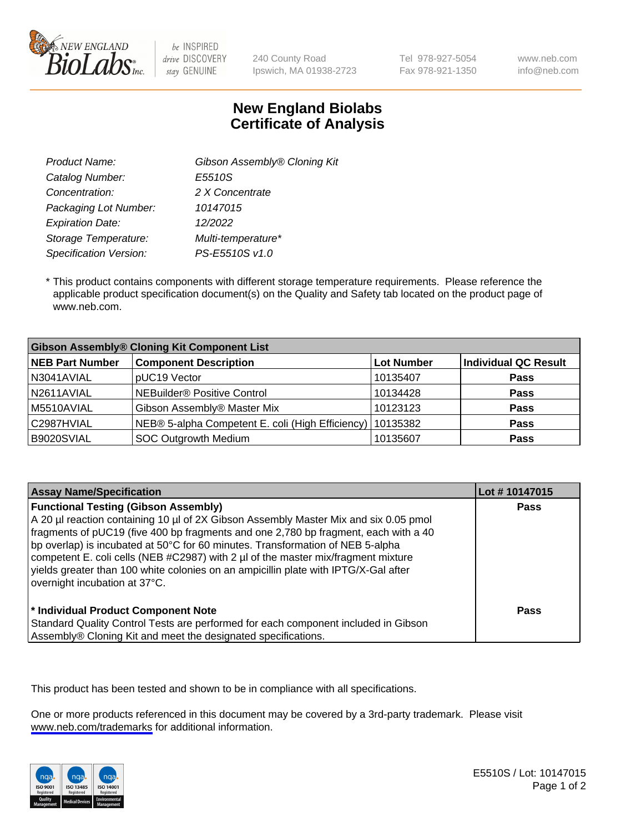

be INSPIRED drive DISCOVERY stay GENUINE

240 County Road Ipswich, MA 01938-2723 Tel 978-927-5054 Fax 978-921-1350 www.neb.com info@neb.com

## **New England Biolabs Certificate of Analysis**

| Gibson Assembly® Cloning Kit |
|------------------------------|
| E5510S                       |
| 2 X Concentrate              |
| 10147015                     |
| 12/2022                      |
| Multi-temperature*           |
| PS-E5510S v1.0               |
|                              |

 \* This product contains components with different storage temperature requirements. Please reference the applicable product specification document(s) on the Quality and Safety tab located on the product page of www.neb.com.

| <b>Gibson Assembly® Cloning Kit Component List</b> |                                                             |            |                             |  |
|----------------------------------------------------|-------------------------------------------------------------|------------|-----------------------------|--|
| <b>NEB Part Number</b>                             | <b>Component Description</b>                                | Lot Number | <b>Individual QC Result</b> |  |
| N3041AVIAL                                         | pUC19 Vector                                                | 10135407   | <b>Pass</b>                 |  |
| N2611AVIAL                                         | NEBuilder <sup>®</sup> Positive Control                     | 10134428   | <b>Pass</b>                 |  |
| M5510AVIAL                                         | Gibson Assembly® Master Mix                                 | 10123123   | <b>Pass</b>                 |  |
| C2987HVIAL                                         | NEB® 5-alpha Competent E. coli (High Efficiency)   10135382 |            | Pass                        |  |
| B9020SVIAL                                         | SOC Outgrowth Medium                                        | 10135607   | <b>Pass</b>                 |  |

| <b>Assay Name/Specification</b>                                                                                                                                                                                                                                                                                                                                                                                                                                                                                           | Lot #10147015 |
|---------------------------------------------------------------------------------------------------------------------------------------------------------------------------------------------------------------------------------------------------------------------------------------------------------------------------------------------------------------------------------------------------------------------------------------------------------------------------------------------------------------------------|---------------|
| <b>Functional Testing (Gibson Assembly)</b><br>A 20 µl reaction containing 10 µl of 2X Gibson Assembly Master Mix and six 0.05 pmol<br>fragments of pUC19 (five 400 bp fragments and one 2,780 bp fragment, each with a 40<br>bp overlap) is incubated at 50°C for 60 minutes. Transformation of NEB 5-alpha<br>competent E. coli cells (NEB #C2987) with 2 µl of the master mix/fragment mixture<br>yields greater than 100 white colonies on an ampicillin plate with IPTG/X-Gal after<br>overnight incubation at 37°C. | <b>Pass</b>   |
| * Individual Product Component Note<br>Standard Quality Control Tests are performed for each component included in Gibson<br>Assembly® Cloning Kit and meet the designated specifications.                                                                                                                                                                                                                                                                                                                                | Pass          |

This product has been tested and shown to be in compliance with all specifications.

One or more products referenced in this document may be covered by a 3rd-party trademark. Please visit <www.neb.com/trademarks>for additional information.